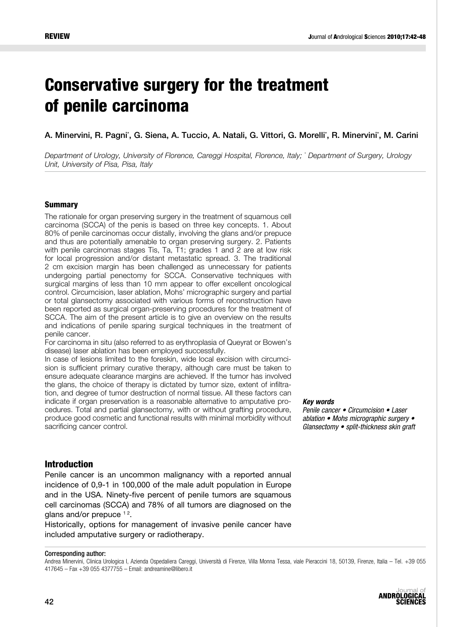# Conservative surgery for the treatment of penile carcinoma

A. Minervini, R. Pagni`, G. Siena, A. Tuccio, A. Natali, G. Vittori, G. Morelliʿ, R. Minerviniʿ, M. Carini

*Department of Urology, University of Florence, Careggi Hospital, Florence, Italy; \* Department of Surgery, Urology Unit, University of Pisa, Pisa, Italy*

#### Summary

The rationale for organ preserving surgery in the treatment of squamous cell carcinoma (SCCA) of the penis is based on three key concepts. 1. About 80% of penile carcinomas occur distally, involving the glans and/or prepuce and thus are potentially amenable to organ preserving surgery. 2. Patients with penile carcinomas stages Tis, Ta, T1; grades 1 and 2 are at low risk for local progression and/or distant metastatic spread. 3. The traditional 2 cm excision margin has been challenged as unnecessary for patients undergoing partial penectomy for SCCA. Conservative techniques with surgical margins of less than 10 mm appear to offer excellent oncological control. Circumcision, laser ablation, Mohs' micrographic surgery and partial or total glansectomy associated with various forms of reconstruction have been reported as surgical organ-preserving procedures for the treatment of SCCA. The aim of the present article is to give an overview on the results and indications of penile sparing surgical techniques in the treatment of penile cancer.

For carcinoma in situ (also referred to as erythroplasia of Queyrat or Bowen's disease) laser ablation has been employed successfully.

In case of lesions limited to the foreskin, wide local excision with circumcision is sufficient primary curative therapy, although care must be taken to ensure adequate clearance margins are achieved. If the tumor has involved the glans, the choice of therapy is dictated by tumor size, extent of infiltration, and degree of tumor destruction of normal tissue. All these factors can indicate if organ preservation is a reasonable alternative to amputative procedures. Total and partial glansectomy, with or without grafting procedure, produce good cosmetic and functional results with minimal morbidity without sacrificing cancer control.

*Key words*

Penile cancer • Circumcision • Laser ablation • Mohs micrographic surgery • Glansectomy • split-thickness skin graft

#### Introduction

Penile cancer is an uncommon malignancy with a reported annual incidence of 0,9-1 in 100,000 of the male adult population in Europe and in the USA. Ninety-five percent of penile tumors are squamous cell carcinomas (SCCA) and 78% of all tumors are diagnosed on the glans and/or prepuce  $12$ .

Historically, options for management of invasive penile cancer have included amputative surgery or radiotherapy.

#### Corresponding author:

Andrea Minervini, Clinica Urologica I, Azienda Ospedaliera Careggi, Università di Firenze, Villa Monna Tessa, viale Pieraccini 18, 50139, Firenze, Italia – Tel. +39 055 417645 – Fax +39 055 4377755 – Email: andreamine@libero.it

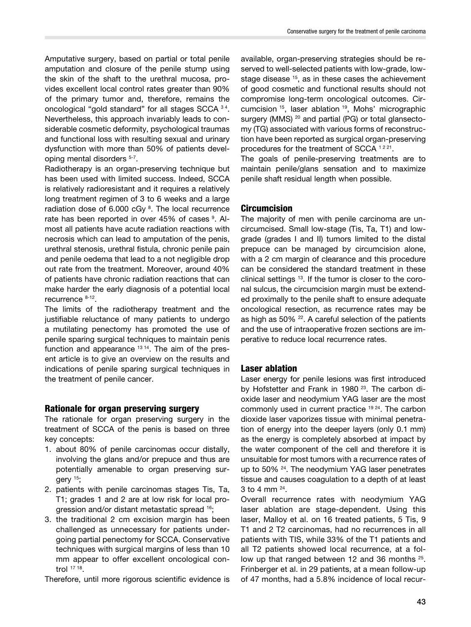Amputative surgery, based on partial or total penile amputation and closure of the penile stump using the skin of the shaft to the urethral mucosa, provides excellent local control rates greater than 90% of the primary tumor and, therefore, remains the oncological "gold standard" for all stages SCCA 34. Nevertheless, this approach invariably leads to considerable cosmetic deformity, psychological traumas and functional loss with resulting sexual and urinary dysfunction with more than 50% of patients developing mental disorders 5-7.

Radiotherapy is an organ-preserving technique but has been used with limited success. Indeed, SCCA is relatively radioresistant and it requires a relatively long treatment regimen of 3 to 6 weeks and a large radiation dose of 6.000 cGy<sup>8</sup>. The local recurrence rate has been reported in over 45% of cases <sup>9</sup>. Almost all patients have acute radiation reactions with necrosis which can lead to amputation of the penis, urethral stenosis, urethral fistula, chronic penile pain and penile oedema that lead to a not negligible drop out rate from the treatment. Moreover, around 40% of patients have chronic radiation reactions that can make harder the early diagnosis of a potential local recurrence 8-12.

The limits of the radiotherapy treatment and the justifiable reluctance of many patients to undergo a mutilating penectomy has promoted the use of penile sparing surgical techniques to maintain penis function and appearance  $13 14$ . The aim of the present article is to give an overview on the results and indications of penile sparing surgical techniques in the treatment of penile cancer.

# Rationale for organ preserving surgery

The rationale for organ preserving surgery in the treatment of SCCA of the penis is based on three key concepts:

- 1. about 80% of penile carcinomas occur distally, involving the glans and/or prepuce and thus are potentially amenable to organ preserving surgery 15;
- 2. patients with penile carcinomas stages Tis, Ta, T1; grades 1 and 2 are at low risk for local progression and/or distant metastatic spread 16;
- 3. the traditional 2 cm excision margin has been challenged as unnecessary for patients undergoing partial penectomy for SCCA. Conservative techniques with surgical margins of less than 10 mm appear to offer excellent oncological control <sup>17</sup> 18.

Therefore, until more rigorous scientific evidence is

available, organ-preserving strategies should be reserved to well-selected patients with low-grade, lowstage disease <sup>15</sup>, as in these cases the achievement of good cosmetic and functional results should not compromise long-term oncological outcomes. Circumcision 15, laser ablation 19, Mohs' micrographic surgery (MMS) <sup>20</sup> and partial (PG) or total glansectomy (TG) associated with various forms of reconstruction have been reported as surgical organ-preserving procedures for the treatment of SCCA<sup>1221</sup>.

The goals of penile-preserving treatments are to maintain penile/glans sensation and to maximize penile shaft residual length when possible.

# **Circumcision**

The majority of men with penile carcinoma are uncircumcised. Small low-stage (Tis, Ta, T1) and lowgrade (grades I and II) tumors limited to the distal prepuce can be managed by circumcision alone, with a 2 cm margin of clearance and this procedure can be considered the standard treatment in these clinical settings 13. If the tumor is closer to the coronal sulcus, the circumcision margin must be extended proximally to the penile shaft to ensure adequate oncological resection, as recurrence rates may be as high as  $50\%$   $^{22}$ . A careful selection of the patients and the use of intraoperative frozen sections are imperative to reduce local recurrence rates.

# Laser ablation

Laser energy for penile lesions was first introduced by Hofstetter and Frank in 1980<sup>23</sup>. The carbon dioxide laser and neodymium YAG laser are the most commonly used in current practice 19 24. The carbon dioxide laser vaporizes tissue with minimal penetration of energy into the deeper layers (only 0.1 mm) as the energy is completely absorbed at impact by the water component of the cell and therefore it is unsuitable for most tumors with a recurrence rates of up to 50% <sup>24</sup>. The neodymium YAG laser penetrates tissue and causes coagulation to a depth of at least 3 to 4 mm 24.

Overall recurrence rates with neodymium YAG laser ablation are stage-dependent. Using this laser, Malloy et al. on 16 treated patients, 5 Tis, 9 T1 and 2 T2 carcinomas, had no recurrences in all patients with TIS, while 33% of the T1 patients and all T2 patients showed local recurrence, at a follow up that ranged between 12 and 36 months <sup>25</sup>. Frinberger et al. in 29 patients, at a mean follow-up of 47 months, had a 5.8% incidence of local recur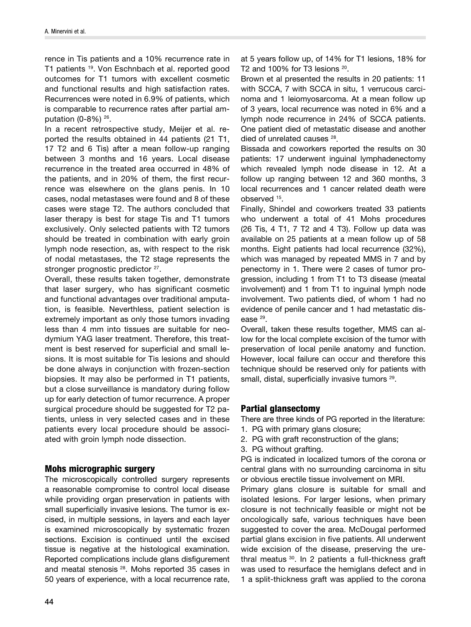rence in Tis patients and a 10% recurrence rate in T1 patients 19. Von Eschnbach et al. reported good outcomes for T1 tumors with excellent cosmetic and functional results and high satisfaction rates. Recurrences were noted in 6.9% of patients, which is comparable to recurrence rates after partial amputation (0-8%) 26.

In a recent retrospective study, Meijer et al. reported the results obtained in 44 patients (21 T1, 17 T2 and 6 Tis) after a mean follow-up ranging between 3 months and 16 years. Local disease recurrence in the treated area occurred in 48% of the patients, and in 20% of them, the first recurrence was elsewhere on the glans penis. In 10 cases, nodal metastases were found and 8 of these cases were stage T2. The authors concluded that laser therapy is best for stage Tis and T1 tumors exclusively. Only selected patients with T2 tumors should be treated in combination with early groin lymph node resection, as, with respect to the risk of nodal metastases, the T2 stage represents the stronger prognostic predictor <sup>27</sup>.

Overall, these results taken together, demonstrate that laser surgery, who has significant cosmetic and functional advantages over traditional amputation, is feasible. Neverthless, patient selection is extremely important as only those tumors invading less than 4 mm into tissues are suitable for neodymium YAG laser treatment. Therefore, this treatment is best reserved for superficial and small lesions. It is most suitable for Tis lesions and should be done always in conjunction with frozen-section biopsies. It may also be performed in T1 patients, but a close surveillance is mandatory during follow up for early detection of tumor recurrence. A proper surgical procedure should be suggested for T2 patients, unless in very selected cases and in these patients every local procedure should be associated with groin lymph node dissection.

#### Mohs micrographic surgery

The microscopically controlled surgery represents a reasonable compromise to control local disease while providing organ preservation in patients with small superficially invasive lesions. The tumor is excised, in multiple sessions, in layers and each layer is examined microscopically by systematic frozen sections. Excision is continued until the excised tissue is negative at the histological examination. Reported complications include glans disfigurement and meatal stenosis 28. Mohs reported 35 cases in 50 years of experience, with a local recurrence rate,

at 5 years follow up, of 14% for T1 lesions, 18% for T<sub>2</sub> and 100% for T<sub>3</sub> lesions  $20$ .

Brown et al presented the results in 20 patients: 11 with SCCA, 7 with SCCA in situ, 1 verrucous carcinoma and 1 leiomyosarcoma. At a mean follow up of 3 years, local recurrence was noted in 6% and a lymph node recurrence in 24% of SCCA patients. One patient died of metastatic disease and another died of unrelated causes<sup>28</sup>.

Bissada and coworkers reported the results on 30 patients: 17 underwent inguinal lymphadenectomy which revealed lymph node disease in 12. At a follow up ranging between 12 and 360 months, 3 local recurrences and 1 cancer related death were observed 15.

Finally, Shindel and coworkers treated 33 patients who underwent a total of 41 Mohs procedures (26 Tis, 4 T1, 7 T2 and 4 T3). Follow up data was available on 25 patients at a mean follow up of 58 months. Eight patients had local recurrence (32%), which was managed by repeated MMS in 7 and by penectomy in 1. There were 2 cases of tumor progression, including 1 from T1 to T3 disease (meatal involvement) and 1 from T1 to inguinal lymph node involvement. Two patients died, of whom 1 had no evidence of penile cancer and 1 had metastatic disease<sup>29</sup>.

Overall, taken these results together, MMS can allow for the local complete excision of the tumor with preservation of local penile anatomy and function. However, local failure can occur and therefore this technique should be reserved only for patients with small, distal, superficially invasive tumors <sup>29</sup>.

# Partial glansectomy

There are three kinds of PG reported in the literature:

- 1. PG with primary glans closure;
- 2. PG with graft reconstruction of the glans;
- 3. PG without grafting.

PG is indicated in localized tumors of the corona or central glans with no surrounding carcinoma in situ or obvious erectile tissue involvement on MRI.

Primary glans closure is suitable for small and isolated lesions. For larger lesions, when primary closure is not technically feasible or might not be oncologically safe, various techniques have been suggested to cover the area. McDougal performed partial glans excision in five patients. All underwent wide excision of the disease, preserving the urethral meatus 30. In 2 patients a full-thickness graft was used to resurface the hemiglans defect and in 1 a split-thickness graft was applied to the corona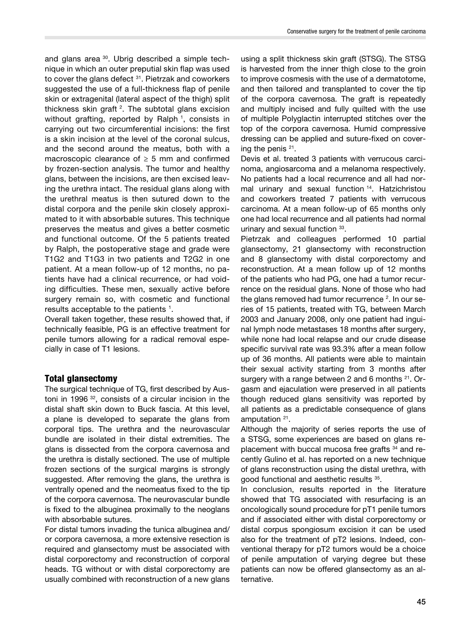and glans area 30. Ubrig described a simple technique in which an outer preputial skin flap was used to cover the glans defect <sup>31</sup>. Pietrzak and coworkers suggested the use of a full-thickness flap of penile skin or extragenital (lateral aspect of the thigh) split thickness skin graft <sup>2</sup>. The subtotal glans excision without grafting, reported by Ralph<sup>1</sup>, consists in carrying out two circumferential incisions: the first is a skin incision at the level of the coronal sulcus, and the second around the meatus, both with a macroscopic clearance of  $\geq$  5 mm and confirmed by frozen-section analysis. The tumor and healthy glans, between the incisions, are then excised leaving the urethra intact. The residual glans along with the urethral meatus is then sutured down to the distal corpora and the penile skin closely approximated to it with absorbable sutures. This technique preserves the meatus and gives a better cosmetic and functional outcome. Of the 5 patients treated by Ralph, the postoperative stage and grade were T1G2 and T1G3 in two patients and T2G2 in one patient. At a mean follow-up of 12 months, no patients have had a clinical recurrence, or had voiding difficulties. These men, sexually active before surgery remain so, with cosmetic and functional results acceptable to the patients  $^1$ .

Overall taken together, these results showed that, if technically feasible, PG is an effective treatment for penile tumors allowing for a radical removal especially in case of T1 lesions.

# Total glansectomy

The surgical technique of TG, first described by Austoni in 1996 32, consists of a circular incision in the distal shaft skin down to Buck fascia. At this level, a plane is developed to separate the glans from corporal tips. The urethra and the neurovascular bundle are isolated in their distal extremities. The glans is dissected from the corpora cavernosa and the urethra is distally sectioned. The use of multiple frozen sections of the surgical margins is strongly suggested. After removing the glans, the urethra is ventrally opened and the neomeatus fixed to the tip of the corpora cavernosa. The neurovascular bundle is fixed to the albuginea proximally to the neoglans with absorbable sutures.

For distal tumors invading the tunica albuginea and/ or corpora cavernosa, a more extensive resection is required and glansectomy must be associated with distal corporectomy and reconstructíon of corporal heads. TG without or with distal corporectomy are usually combined with reconstruction of a new glans

using a split thickness skin graft (STSG). The STSG is harvested from the inner thigh close to the groin to improve cosmesis with the use of a dermatotome, and then tailored and transplanted to cover the tip of the corpora cavernosa. The graft is repeatedly and multiply incised and fully quilted with the use of multiple Polyglactin interrupted stitches over the top of the corpora cavernosa. Humid compressive dressing can be applied and suture-fixed on covering the penis 21.

Devis et al. treated 3 patients with verrucous carcinoma, angiosarcoma and a melanoma respectively. No patients had a local recurrence and all had normal urinary and sexual function 14. Hatzichristou and coworkers treated 7 patients with verrucous carcinoma. At a mean follow-up of 65 months only one had local recurrence and all patients had normal urinary and sexual function 33.

Pietrzak and colleagues performed 10 partial glansectomy, 21 glansectomy with reconstruction and 8 glansectomy with distal corporectomy and reconstruction. At a mean follow up of 12 months of the patients who had PG, one had a tumor recurrence on the residual glans. None of those who had the glans removed had tumor recurrence  $2$ . In our series of 15 patients, treated with TG, between March 2003 and January 2008, only one patient had inguinal lymph node metastases 18 months after surgery, while none had local relapse and our crude disease specific survival rate was 93.3% after a mean follow up of 36 months. All patients were able to maintain their sexual activity starting from 3 months after surgery with a range between 2 and 6 months <sup>21</sup>. Orgasm and ejaculation were preserved in all patients though reduced glans sensitivity was reported by all patients as a predictable consequence of glans amputation 21.

Although the majority of series reports the use of a STSG, some experiences are based on glans replacement with buccal mucosa free grafts <sup>34</sup> and recently Gulino et al. has reported on a new technique of glans reconstruction using the distal urethra, with good functional and aesthetic results 35.

In conclusion, results reported in the literature showed that TG associated with resurfacing is an oncologically sound procedure for pT1 penile tumors and if associated either with distal corporectomy or distal corpus spongiosum excision it can be used also for the treatment of pT2 lesions. Indeed, conventional therapy for pT2 tumors would be a choice of penile amputation of varying degree but these patients can now be offered glansectomy as an alternative.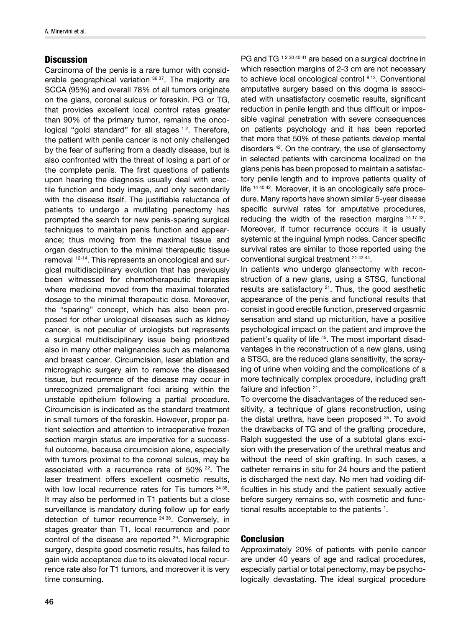#### **Discussion**

Carcinoma of the penis is a rare tumor with considerable geographical variation 36 37. The majority are SCCA (95%) and overall 78% of all tumors originate on the glans, coronal sulcus or foreskin. PG or TG, that provides excellent local control rates greater than 90% of the primary tumor, remains the oncological "gold standard" for all stages <sup>12</sup>. Therefore, the patient with penile cancer is not only challenged by the fear of suffering from a deadly disease, but is also confronted with the threat of losing a part of or the complete penis. The first questions of patients upon hearing the diagnosis usually deal with erectile function and body image, and only secondarily with the disease itself. The justifiable reluctance of patients to undergo a mutilating penectomy has prompted the search for new penis-sparing surgical techniques to maintain penis function and appearance; thus moving from the maximal tissue and organ destruction to the minimal therapeutic tissue removal 12-14. This represents an oncological and surgical multidisciplinary evolution that has previously been witnessed for chemotherapeutic therapies where medicine moved from the maximal tolerated dosage to the minimal therapeutic dose. Moreover, the "sparing" concept, which has also been proposed for other urological diseases such as kidney cancer, is not peculiar of urologists but represents a surgical multidisciplinary issue being prioritized also in many other malignancies such as melanoma and breast cancer. Circumcision, laser ablation and micrographic surgery aim to remove the diseased tissue, but recurrence of the disease may occur in unrecognized premalignant foci arising within the unstable epithelium following a partial procedure. Circumcision is indicated as the standard treatment in small tumors of the foreskin. However, proper patient selection and attention to intraoperative frozen section margin status are imperative for a successful outcome, because circumcision alone, especially with tumors proximal to the coronal sulcus, may be associated with a recurrence rate of 50% 22. The laser treatment offers excellent cosmetic results, with low local recurrence rates for Tis tumors <sup>24 38</sup>. It may also be performed in T1 patients but a close surveillance is mandatory during follow up for early detection of tumor recurrence <sup>24</sup> 38. Conversely, in stages greater than T1, local recurrence and poor control of the disease are reported 39. Micrographic surgery, despite good cosmetic results, has failed to gain wide acceptance due to its elevated local recurrence rate also for T1 tumors, and moreover it is very time consuming.

PG and TG <sup>1230 40 41</sup> are based on a surgical doctrine in which resection margins of 2-3 cm are not necessary to achieve local oncological control <sup>8</sup> 13. Conventional amputative surgery based on this dogma is associated with unsatisfactory cosmetic results, significant reduction in penile length and thus difficult or impossible vaginal penetration with severe consequences on patients psychology and it has been reported that more that 50% of these patients develop mental disorders 42. On the contrary, the use of glansectomy in selected patients with carcinoma localized on the glans penis has been proposed to maintain a satisfactory penile length and to improve patients quality of life <sup>14 40 42</sup>. Moreover, it is an oncologically safe procedure. Many reports have shown similar 5-year disease specific survival rates for amputative procedures, reducing the width of the resection margins 14 17 42. Moreover, if tumor recurrence occurs it is usually systemic at the inguinal lymph nodes. Cancer specific survival rates are similar to those reported using the conventional surgical treatment <sup>21</sup> <sup>43</sup> 44.

In patients who undergo glansectomy with reconstruction of a new glans, using a STSG, functional results are satisfactory  $21$ . Thus, the good aesthetic appearance of the penis and functional results that consist in good erectile function, preserved orgasmic sensation and stand up micturition, have a positive psychological impact on the patient and improve the patient's quality of life <sup>45</sup>. The most important disadvantages in the reconstruction of a new glans, using a STSG, are the reduced glans sensitivity, the spraying of urine when voiding and the complications of a more technically complex procedure, including graft failure and infection 21.

To overcome the disadvantages of the reduced sensitivity, a technique of glans reconstruction, using the distal urethra, have been proposed 35. To avoid the drawbacks of TG and of the grafting procedure, Ralph suggested the use of a subtotal glans excision with the preservation of the urethral meatus and without the need of skin grafting. In such cases, a catheter remains in situ for 24 hours and the patient is discharged the next day. No men had voiding difficulties in his study and the patient sexually active before surgery remains so, with cosmetic and functional results acceptable to the patients  $1$ .

#### Conclusion

Approximately 20% of patients with penile cancer are under 40 years of age and radical procedures, especially partial or total penectomy, may be psychologically devastating. The ideal surgical procedure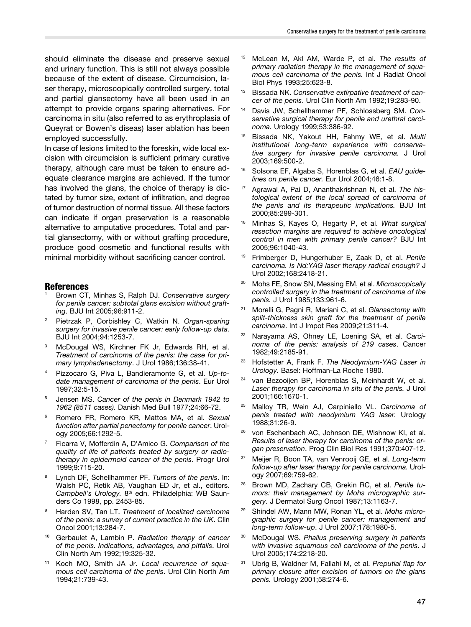should eliminate the disease and preserve sexual and urinary function. This is still not always possible because of the extent of disease. Circumcision, laser therapy, microscopically controlled surgery, total and partial glansectomy have all been used in an attempt to provide organs sparing alternatives. For carcinoma in situ (also referred to as erythroplasia of Queyrat or Bowen's diseas) laser ablation has been employed successfully.

In case of lesions limited to the foreskin, wide local excision with circumcision is sufficient primary curative therapy, although care must be taken to ensure adequate clearance margins are achieved. If the tumor has involved the glans, the choice of therapy is dictated by tumor size, extent of infiltration, and degree of tumor destruction of normal tissue. All these factors can indicate if organ preservation is a reasonable alternative to amputative procedures. Total and partial glansectomy, with or without grafting procedure, produce good cosmetic and functional results with minimal morbidity without sacrificing cancer control.

#### **References**

- <sup>1</sup> Brown CT, Minhas S, Ralph DJ. *Conservative surgery for penile cancer: subtotal glans excision without grafting*. BJU Int 2005;96:911-2.
- <sup>2</sup> Pietrzak P, Corbishley C, Watkin N. *Organ-sparing surgery for invasive penile cancer: early follow-up data*. BJU Int 2004;94:1253-7.
- McDougal WS, Kirchner FK Jr, Edwards RH, et al. *Treatment of carcinoma of the penis: the case for primary lymphadenectomy*. J Urol 1986;136:38-41.
- <sup>4</sup> Pizzocaro G, Piva L, Bandieramonte G, et al. *Up-todate management of carcinoma of the penis*. Eur Urol 1997;32:5-15.
- <sup>5</sup> Jensen MS. *Cancer of the penis in Denmark 1942 to 1962 (8511 cases).* Danish Med Bull 1977;24:66-72.
- <sup>6</sup> Romero FR, Romero KR, Mattos MA, et al. *Sexual function after partial penectomy for penile cancer*. Urology 2005;66:1292-5.
- <sup>7</sup> Ficarra V, Mofferdin A, D'Amico G. *Comparison of the quality of life of patients treated by surgery or radiotherapy in epidermoid cancer of the penis*. Progr Urol 1999;9:715-20.
- <sup>8</sup> Lynch DF, Schellhammer PF. *Tumors of the penis*. In: Walsh PC, Retik AB, Vaughan ED Jr, et al., editors. Campbell's Urology. 8<sup>th</sup> edn. Philadelphia: WB Saunders Co 1998, pp. 2453-85.
- <sup>9</sup> Harden SV, Tan LT. *Treatment of localized carcinoma of the penis: a survey of current practice in the UK*. Clin Oncol 2001;13:284-7.
- <sup>10</sup> Gerbaulet A, Lambin P. *Radiation therapy of cancer of the penis. Indications, advantages, and pitfalls*. Urol Clin North Am 1992;19:325-32.
- Koch MO, Smith JA Jr. Local recurrence of squa*mous cell carcinoma of the penis*. Urol Clin North Am 1994;21:739-43.
- <sup>12</sup> McLean M, Akl AM, Warde P, et al. *The results of primary radiation therapy in the management of squamous cell carcinoma of the penis.* Int J Radiat Oncol Biol Phys 1993;25:623-8.
- <sup>13</sup> Bissada NK. *Conservative extirpative treatment of cancer of the penis*. Urol Clin North Am 1992;19:283-90.
- <sup>14</sup> Davis JW, Schellhammer PF, Schlossberg SM. *Conservative surgical therapy for penile and urethral carcinoma.* Urology 1999;53:386-92.
- <sup>15</sup> Bissada NK, Yakout HH, Fahmy WE, et al. *Multi institutional long-term experience with conservative surgery for invasive penile carcinoma.* J Urol 2003;169:500-2.
- <sup>16</sup> Solsona EF, Algaba S, Horenblas G, et al. *EAU guidelines on penile cancer.* Eur Urol 2004;46:1-8.
- <sup>17</sup> Agrawal A, Pai D, Ananthakrishnan N, et al. *The histological extent of the local spread of carcinoma of the penis and its therapeutic implications.* BJU Int 2000;85:299-301.
- <sup>18</sup> Minhas S, Kayes O, Hegarty P, et al. *What surgical resection margins are required to achieve oncological control in men with primary penile cancer?* BJU Int 2005;96:1040-43.
- <sup>19</sup> Frimberger D, Hungerhuber E, Zaak D, et al. *Penile carcinoma. Is Nd:YAG laser therapy radical enough?* J Urol 2002;168:2418-21.
- <sup>20</sup> Mohs FE, Snow SN, Messing EM, et al. *Microscopically controlled surgery in the treatment of carcinoma of the penis.* J Urol 1985;133:961-6.
- <sup>21</sup> Morelli G, Pagni R, Mariani C, et al. *Glansectomy with split-thickness skin graft for the treatment of penile carcinoma*. Int J Impot Res 2009;21:311-4.
- <sup>22</sup> Narayama AS, Ohney LE, Loening SA, et al. *Carcinoma of the penis: analysis of 219 cases*. Cancer 1982;49:2185-91.
- <sup>23</sup> Hofstetter A, Frank F. *The Neodymium-YAG Laser in Urology.* Basel: Hoffman-La Roche 1980.
- <sup>24</sup> van Bezooijen BP, Horenblas S, Meinhardt W, et al. *Laser therapy for carcinoma in situ of the penis.* J Urol 2001;166:1670-1.
- <sup>25</sup> Malloy TR, Wein AJ, Carpiniello VL. *Carcinoma of penis treated with neodymium YAG laser.* Urology 1988;31:26-9.
- <sup>26</sup> von Eschenbach AC, Johnson DE, Wishnow KI, et al. *Results of laser therapy for carcinoma of the penis: organ preservation*. Prog Clin Biol Res 1991;370:407-12.
- <sup>27</sup> Meijer R, Boon TA, van Venrooij GE, et al. *Long-term follow-up after laser therapy for penile carcinoma.* Urology 2007;69:759-62.
- <sup>28</sup> Brown MD, Zachary CB, Grekin RC, et al. *Penile tumors: their management by Mohs micrographic surgery*. J Dermatol Surg Oncol 1987;13:1163-7.
- <sup>29</sup> Shindel AW, Mann MW, Ronan YL, et al. *Mohs micrographic surgery for penile cancer: management and long-term follow-up*. J Urol 2007;178:1980-5.
- <sup>30</sup> McDougal WS. *Phallus preserving surgery in patients with invasive squamous cell carcinoma of the penis*. J Urol 2005;174:2218-20.
- <sup>31</sup> Ubrig B, Waldner M, Fallahi M, et al. *Preputial flap for primary closure after excision of tumors on the glans penis.* Urology 2001;58:274-6.